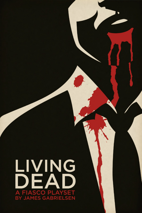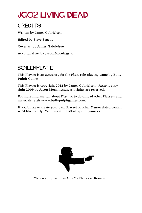# JG02 Living Dead

## **CREDITS**

Written by James Gabrielsen Edited by Steve Segedy Cover art by James Gabrielsen Additional art by Jason Morningstar

## BOILERPLATE

This Playset is an accessory for the *Fiasco* role-playing game by Bully Pulpit Games.

This Playset is copyright 2012 by James Gabrielsen. *Fiasco* is copyright 2009 by Jason Morningstar. All rights are reserved.

For more information about *Fiasco* or to download other Playsets and materials, visit [www.bullypulpitgames.com](http://www.bullypulpitgames.com).

If you'd like to create your own Playset or other *Fiasco*-related content, we'd like to help. Write us at [info@bullypulpitgames.com.](mailto:info%40bullypulpitgames.com?subject=)



"When you play, play *hard*." - Theodore Roosevelt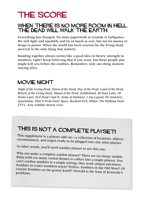# THE SCORE

### When there is no more room in Hell, the dead will walk the Earth.

Everything has changed. No more paperwork or errands or ballgames. We still fight and squabble and lie as much as ever, but not for money or drugs or power. When the world has been overrun by the living dead, survival is the only thing that matters.

Banding together always seems like a good idea in theory; strength in numbers, right? Keep believing that if you want, but those people just might kill you before the zombies. Remember, only one thing matters: staying alive.

### MOVIE NIGHT

*Night of the Living Dead, Dawn of the Dead, Day of the Dead, Land of the Dead, Return of the Living Dead, Shaun of the Dead, Zombieland, 28 Days Later, 28 Weeks Later, Evil Dead I and II, Army of Darkness, I Am Legend, Pet Semetery, Quarantine, Plan 9 From Outer Space, Resident Evil, Slither, The Walking Dead*  (TV). Any zombie movie ever.

# THIS IS NOT A COMPLETE PLAYSET!

This supplement is a playset add-on—a collection of locations, objects, circumstances, and tropes ready to be plugged into any other playset.

In other words, you'll need another playset to use this one.

Why not make a complete zombie playset? There are too many zombie films with too many varied themes to collect into a single playset. You can't confine zombies to a single setting; they work almost anywhere. Zombies in a nice southern town? Perfect. Zombies in the Old West? Of course! Zombies on the grassy knoll? Oswald is the least of Kennedy's problems.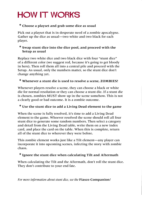# **HOW IT WORKS**

#### **\* Choose a playset and grab some dice as usual**

Pick out a playset that is in desperate need of a zombie apocalypse. Gather up the dice as usual—two white and two black for each player.

#### **\* Swap stunt dice into the dice pool, and proceed with the Setup as usual**

Replace two white dice and two black dice with four "stunt dice" of a different color (we suggest red, because it's going to get bloody in here). Then roll them all into a central pile and proceed with the Setup. As usual, only the numbers matter, so the stunt dice don't change anything yet.

#### **\* Whenever a stunt die is used to resolve a scene, ZOMBIES!**

Whenever players resolve a scene, they can choose a black or white die for normal resolution or they can choose a stunt die. If a stunt die is chosen, zombies MUST show up in the scene somehow. This is not a clearly good or bad outcome. It is a zombie outcome.

#### **\* Use the stunt dice to add a Living Dead element to the game**

When the scene is fully resolved, it's time to add a Living Dead element to the game. Whoever resolved the scene should roll all four stunt dice to generate some random numbers. Then select a category and detail from the Living Dead table, write them on a new index card, and place the card on the table. When this is complete, return all of the stunt dice to wherever they were before.

This zombie element works just like a Tilt element—any player can incorporate it into upcoming scenes, infecting the story with zombie chaos.

#### **\* Ignore the stunt dice when calculating Tilt and Aftermath**

When calculating the Tilt and the Aftermath, don't roll the stunt dice. They don't contribute to your end fate.

*For more information about stunt dice, see the* **Fiasco Companion***!*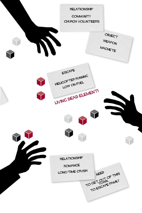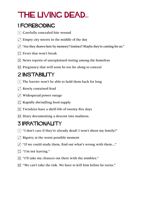# The Living Dead...

## 1 FOREBODING

- $\lceil \cdot \rceil$  Carefully concealed bite wound
- $\Gamma$  Empty city streets in the middle of the day
- 3 "Are they drawn here by memory? Instinct? Maybe they're coming for us."
- $\boxed{\therefore}$  Fever that won't break
- $\mathbb{E}$  News reports of unexplained rioting among the homeless
- **Fig.** Pregnancy that will soon be too far along to conceal

# 2 **INSTABILITY**

- $\lceil \cdot \rceil$  The barrier won't be able to hold them back for long
- $\Gamma$  Barely contained feud
- $\cdot$  Widespread power outage
- $\mathbb{R}$  Rapidly dwindling food supply
- $\mathbb{E}$  Twinkies have a shelf-life of twenty-five days
- **11** Diary documenting a descent into madness.

## 3 Irrationality

- $\lceil \cdot \rceil$  "I don't care if they're already dead! I won't shoot my family!"
- $\Gamma$  Bigotry at the worst possible moment
- $\overline{3}$  "If we could study them, find out what's wrong with them..."
- $\boxed{\therefore}$  "I'm not leaving."
- **3** "I'll take my chances out there with the zombies."
- <sup>1</sup> "We can't take the risk. We have to kill him before he turns."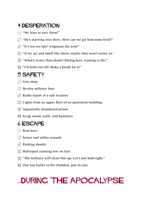## 4 Desperation

- $\lceil \cdot \rceil$  "We have to save them!"
- $\Gamma$  "He's starving over there. How can we get him some food?"
- $\overline{3}$  "It's not too late! Amputate the arm!"
- :: "If we act and smell like them, maybe they won't notice us."
- 5 "What's worse than death? Sitting here, waiting to die."
- **11** "I'll hold 'em off! Make a break for it!"

### 5 SAFETY

- $\lceil \cdot \rceil$  Gun shop
- $\boxed{\cdot}$  Nearby military base
- $\Gamma$  Radio report of a safe location
- $\therefore$  Lights from an upper floor of an apartment building
- $\mathbb{E}$  Apparently abandoned prison
- **1** Scrap wood, nails, and hammers

## 6 Escape

- $\lceil \cdot \rceil$  Boat keys
- $\Gamma$  Sewer and utility tunnels
- $\Gamma$  Parking shuttle
- $\boxed{\therefore}$  Helicopter running low on fuel
- **Fig.** "The military will clean this up. Let's just hold tight."
- **11** One last bullet in the chamber, just in case

# ...during the apocalypse